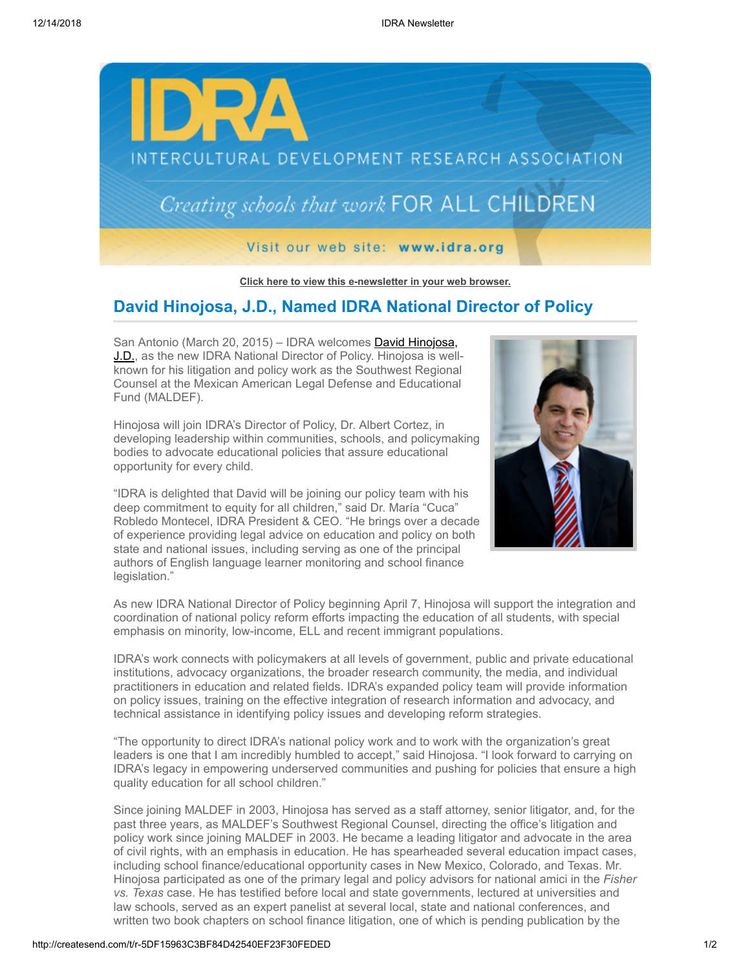

**[Click here to view this e-newsletter in your web browser.](http://newsletter.impulsedevelopment.com/t/r-e-qdhjuld-l-r/)**

## **David Hinojosa, J.D., Named IDRA National Director of Policy**

San Antonio (March 20, 2015) – IDRA welcomes **David Hinojosa**, [J.D., as the new IDRA National Director of Policy. Hinojosa is well](http://idra.createsend1.com/t/r-l-qdhjuld-l-i/)known for his litigation and policy work as the Southwest Regional Counsel at the Mexican American Legal Defense and Educational Fund (MALDEF).

Hinojosa will join IDRA's Director of Policy, Dr. Albert Cortez, in developing leadership within communities, schools, and policymaking bodies to advocate educational policies that assure educational opportunity for every child.

"IDRA is delighted that David will be joining our policy team with his deep commitment to equity for all children," said Dr. María "Cuca" Robledo Montecel, IDRA President & CEO. "He brings over a decade of experience providing legal advice on education and policy on both state and national issues, including serving as one of the principal authors of English language learner monitoring and school finance legislation."



As new IDRA National Director of Policy beginning April 7, Hinojosa will support the integration and coordination of national policy reform efforts impacting the education of all students, with special emphasis on minority, low-income, ELL and recent immigrant populations.

IDRA's work connects with policymakers at all levels of government, public and private educational institutions, advocacy organizations, the broader research community, the media, and individual practitioners in education and related fields. IDRA's expanded policy team will provide information on policy issues, training on the effective integration of research information and advocacy, and technical assistance in identifying policy issues and developing reform strategies.

"The opportunity to direct IDRA's national policy work and to work with the organization's great leaders is one that I am incredibly humbled to accept," said Hinojosa. "I look forward to carrying on IDRA's legacy in empowering underserved communities and pushing for policies that ensure a high quality education for all school children."

Since joining MALDEF in 2003, Hinojosa has served as a staff attorney, senior litigator, and, for the past three years, as MALDEF's Southwest Regional Counsel, directing the office's litigation and policy work since joining MALDEF in 2003. He became a leading litigator and advocate in the area of civil rights, with an emphasis in education. He has spearheaded several education impact cases, including school finance/educational opportunity cases in New Mexico, Colorado, and Texas. Mr. Hinojosa participated as one of the primary legal and policy advisors for national amici in the *Fisher vs. Texas* case. He has testified before local and state governments, lectured at universities and law schools, served as an expert panelist at several local, state and national conferences, and written two book chapters on school finance litigation, one of which is pending publication by the